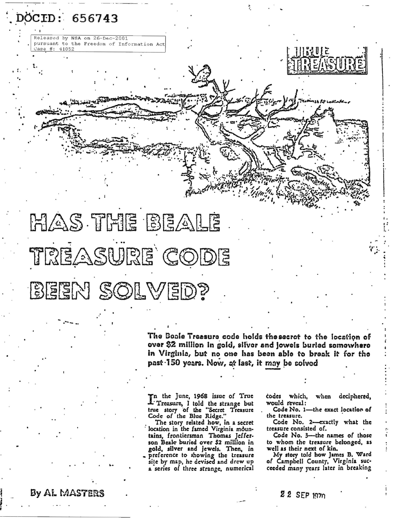

The Bosle Treasure code holds thesecret to the location of over \$2 million in gold, silver and jowels buried somowhere in Virginia, but no one has been able to break it for the past 150 years. Now, at last, it may be solved

In the June, 1968 issue of True<br>L'Treasure, I told the strange but<br>true story of the "Secret Treasure<br>Code of the Blue Ridge."

The story related how, in a secret location in the famed Virginia mountains, frontiersman Thomas Jefferson Beale buried over \$2 million in gold, silver and jewels. Then, in preference to showing the treasure<br>site by map, he devised and drew up a series of three strange, numerical

codes which, when deciphered, would reveal:

Code No. 1-the exact location of the treasure.

Code No. 2-exactly what the treasure consisted of.

Code No. 3-the names of those to whom the treasure belonged, as well as their next of kin.

My story told how James B. Ward<br>of Campbell County, Virginia succeeded many years later in breaking

#### By AL MASTERS

DOCID: 656743

 $#: 41052$ 

Released by NSA on 26-Dec-2001

pursuant to the Freedom of Information Act

22 SEP 1970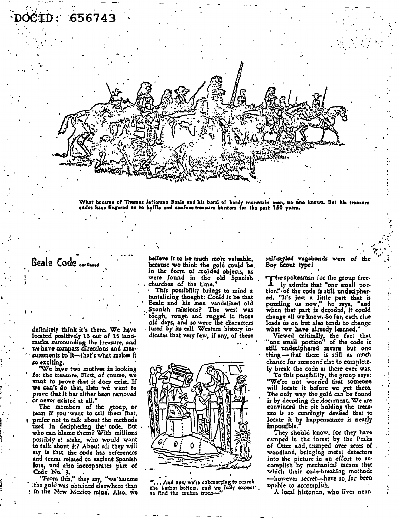

What became of Thomas Jefferson Beale and his band of herdy mountain men, no one knows. But his treasure

### Beale Code continue

definitely think it's there. We have located positively 13 out of 15 landmarks surrounding the treasure, and we have compass directions and mea- $\cdot$ surements to it—that's what makes it so exciting.

"We have two motives in looking for the treasure. First, of course, we want to prove that it does exist. If we can't do that, then we want to prove that it has either been removed or never existed at all."

The members of the group, or team if you want to call them that. prefer not to talk about the methods used in deciphering the code. But who can blame them? With millions possibly at stake, who would want to talk about it? About all they will say is that the code has references and terms related to ancient Spanish lore, and also incorporates part of Code No. 3.

"From this," they say, "we assume the gold was obtained elsewhere than I in the New Mexico mine. Also, we

believe it to be much more valuable, because we think the gold could be. in the form of molded objects, as were found in the old Spanish churches of the time.'

This possibility brings to mind a tantalizing thought: Could it be that<br>Beale and his men vandalized old Spanish missions? The west was tough, rough and rugged in those old days, and so were the characters lured by its call. Western history indicates that very few, if any, of these



., And now we're submerging to search the harbor bettom, and we fully expect. to find the sunken trazeself-styled vagabonds were of Boy Scout type!

The spokesman for the group freely admits that "one small portion" of the code is still undeciphered. "It's just a little part that is<br>puzzling us now," he says, "and<br>when that part is decoded, it could change all we know. So far, each clue leads us on but also tends to change what we have already learned.

Viewed critically, the fact that<br>'one small portion" of the code is still undeciphered means but one thing-that there is still as much chance for someone else to completely break the code as there ever was.

To this possibility, the group says: "We're not worried that someone will locate it before we get there. The only way the gold can be found is by decoding the document. We are convinced the pit holding the treasure is so cunningly devised that to locate it by happenstance is nearly impossible.

They should know, for they have camped in the forest by the Peaks of Otter and tramped over acres of woodland, bringing metal detectors into the picture in an effort to accomplish by mechanical means that which their code-breaking methods -however secret-have so far been unable to accomplish.

A local historian, who lives near-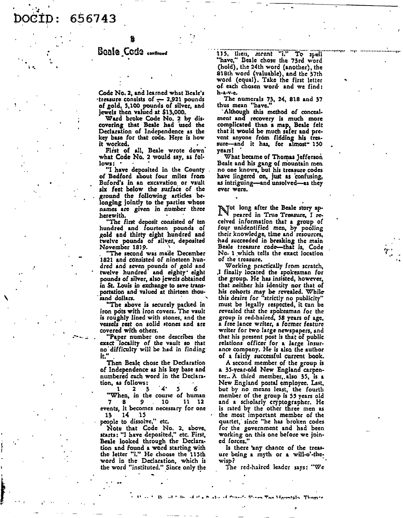656743

Code No. 2, and learned what Beale's  $\cdot$ treasure consists of  $-$  2.921 pounds of gold, 5,100 pounds of silver, and jewels then valued at \$13,000.

Ward broke Code No. 2 by discovering that Beale had used the Declaration of Independence as the key base for that code. Here is how it worked.

First of all, Beale wrote down what Code No. 2 would say, as foi $lows$ :

"I have deposited in the County. of Bedford about four miles from Buford's in an excavation or vault six feet below the surface of the ground the following articles belonging jointly to the parties whose names are given in number three herewith.

The first deposit consisted of ten hundred and fourteen pounds of gold and thirty eight hundred and twelve pounds of silver, deposited November 1819.

"The second was made December 1821 and consisted of nineteen hundred and seven pounds of gold and<br>twelve hundred and eighty' eight pounds of silver, also jewels obtained in St. Louis in exchange to save transportation and valued at thirteen thousand dollars.

"The above is securely packed in iron pots with iron covers. The vault is roughly lined with stones, and the vessels rest on solid stones and are covered with others.

"Paper number one describes the exact locality of the vault so that no difficulty will be had in finding it.

Then Beale chose the Declaration of Independence as his key base and numbered each word in the Declaration, as follows:

 $1 \quad 2 \quad 3$ `4' 6 5

"When, in the course of human  $\mathbf{a}$ 9 10 11 12 events, it becomes necessary for one 14  $15$ 13

people to dissolve," etc.

Note that Code No. 2, above,<br>starts: "I have deposited," etc. First, Beale looked through the Declaration and found a word starting with the letter "i." He choose the 115th word in the Declaration, which is the word "instituted." Since only the

"i." To spell 115, then, meant "have." Beale chose the 73rd word (hold), the 24th word (another), the 818th word (valuable), and the 37th word (equal). Take the first letter of each chosen word and we find: h-a-v-e.

The numerals 73, 24, 818 and 37 thus mean "have."

Although this method of concealment and recovery is much more complicated than a map, Beale felt that it would be much safer and prevent anyone from finding his treasure-and it has, for almost<sup>-</sup> 150 years!

What became of Thomas Jefferson Beale and his gang of mountain men no one knows, but his treasure codes have lingered on, just as confusing, as intriguing-and unsolved-as they ever were.

Tot long after the Beale story appeared in True Treasure, I received information that a group of four unidentified men, by pooling their knowledge, time and resources, had succeeded in breaking the main Beale treasure code-that is. Code No. 1 which tells the exact location of the treasure.

Working practically from scratch,<br>I finally located the spokesman for the group. He has insisted, however, that neither his identity nor that of his cohorts may be revealed. While this desire for "strictly no publicity" must be legally respected, it can be revealed that the spokesman for the group is red-haired, 58 years of age, a free lance writer, a former feature writer for two large newspapers, and that his present post is that of public relations officer for a large insurance company. He is also the author of a fairly successful current book.

A second member of the group is 2 35-year-old New England carpenter.. A third member, also 35, is a New England postal employee. Last, but by no means least, the fourth member of the group is 55 years old and a scholarly cryptographer. He is rated by the other three men as the most important member of the quartet, since "he has broken codes for the government and had been working on this one before we joined forces.'

Is there any chance of the treasure being a myth or a will-o'-thewisp?

The red-haired leader says: "We

 $\sim$  Compared de Stern Ton Hannesin, Thomas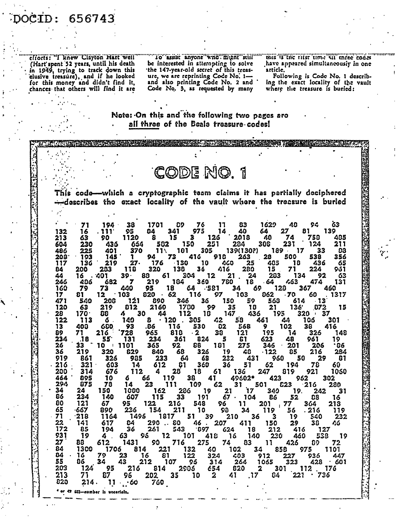## )OCID: 656743

cliotts: "I knew Clayton Hart well (Hart'spent 52 years, until his death in 1949, trying to track down this clusive treasure), and if he looked for this money and didn't find it, chances that others will find it are

"To" assist anyone who might still"" be interested in atterapting to solve the 147-year-old secret of this treasure, we are reprinting Code No. 1-Code No. 3, as requested by many

this is the rifst time sit three codes have appeared simultaneously in one article.

Following is Code No. 1 describing the exact locality of the vault where the treasure is buried:

#### Note: On this and the following two pages are all three of the Beals treasure codes!

This code—which a cryptographic team claims it has partially deciphered --describes the exact locality of the vault where the treesure is buried

CODE NO.

Ğ3 Đ9 דו 139(130?)  $11\sqrt{ }$ Ωß  $13<sub>0</sub>$ 27.  $21.$  $39 \overline{\mathbf{z}}$  $.581$ **6.s**  $.70$  $-62$ -121 - 13  $\mathbf{21}$  $136'$  $170<sup>°</sup>$ Á  $\overline{122}$  $.120$ 680. .86  $\cdot$  2 .18  $55<sup>o</sup>$ S  $10<sub>1</sub>$ G6 840<br>233 -122 -64 49602\* ֿ17 19. 67 · ·667 . 216  $\frac{22}{172}$ 290.080 Ą٥  $0.697$ 4.  $2<sub>3</sub>$  $\mathbf 2$  $\overline{2}$ .17 214.  $11 - 60$ \* or <? (32-aumber is uncericin.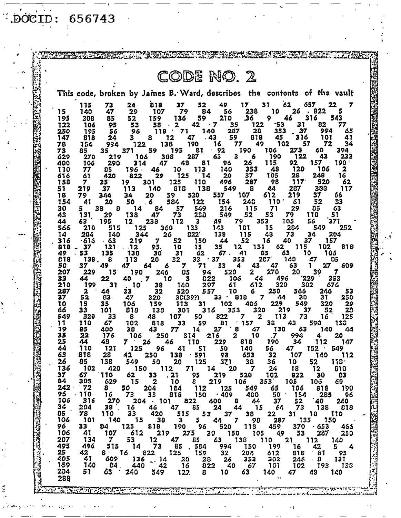$\overrightarrow{D}OCID: 656743$ 

Ş

 $\mathbb{R}^2$ 

|                                                                                                                                                                                                                                  |            |              |                       |                       |                        |                              | CODE NO. 2                   |                        |                            |                         |                    |                     |                                                                         |
|----------------------------------------------------------------------------------------------------------------------------------------------------------------------------------------------------------------------------------|------------|--------------|-----------------------|-----------------------|------------------------|------------------------------|------------------------------|------------------------|----------------------------|-------------------------|--------------------|---------------------|-------------------------------------------------------------------------|
|                                                                                                                                                                                                                                  |            |              |                       |                       |                        |                              |                              |                        |                            |                         |                    |                     | This code, broken by James B. Ward, describes the contents of the vault |
|                                                                                                                                                                                                                                  | 15         | 115<br>140   | 73<br>47              | 24<br>29              | 818<br>107             | 37<br>79                     | 52<br>84                     | 49<br>56               | 17<br>238                  | 31<br>10                | 62<br>26           | 657<br>822          | 22<br>7                                                                 |
|                                                                                                                                                                                                                                  | 195        | 308          | 85                    | 52                    | 159                    | 136                          | 59<br>42                     | 210<br>7               | 36                         | 9<br>$-53$              | 46<br>31           | 316<br>82           | 543<br>77                                                               |
|                                                                                                                                                                                                                                  | 122<br>250 | 106<br>195   | 95<br>56              | 53<br>96              | 58<br>118              | 2<br>71                      | 140                          | 35<br>207              | 122<br>20                  | 353                     | 37                 | 994                 | 65                                                                      |
|                                                                                                                                                                                                                                  | 147<br>78  | 818<br>154   | 24<br>994             | 3<br>122              | 8                      | 12<br>138                    | 47<br>. 43<br>190            | .59<br>16              | 818<br>77                  | 45<br>49                | 316<br>102         | 101<br>57           | 41<br>72<br>34                                                          |
|                                                                                                                                                                                                                                  | 73<br>629  | 85<br>270    | 35<br>219             | 371<br>106            | 59                     | 195<br>388                   | 81<br>287                    | $\cdot$ 92<br>63       | 190<br>3<br>6              | 106<br>190              | 273<br>122         | 60<br>43            | 394<br>233                                                              |
|                                                                                                                                                                                                                                  | 400<br>110 | 106<br>77    | 290<br>อร             | 314<br>196.           | 47<br>46               | 48<br>10                     | 81<br>113                    | 96<br>140              | 26<br>353                  | 115<br>48               | 92<br>120          | 157<br>106          | 190                                                                     |
|                                                                                                                                                                                                                                  | 616<br>158 | 61<br>7.     | 420<br>35             | 822<br>19             | 29<br>301              | 125<br>125                   | 14<br>$-110$                 | 20<br>496              | 37<br>287                  | 105<br>98               | 28<br>117          | 248<br>520          | 16<br>62                                                                |
|                                                                                                                                                                                                                                  | 51<br>18   | 219<br>79    | 37<br>344             | 113<br>34             | 140<br>20              | 818<br>59                    | 138<br>520                   | 549<br>557             | 8<br>107                   | 44<br>612               | 287<br>219         | 388<br>37           | 117<br>66                                                               |
|                                                                                                                                                                                                                                  | 154<br>30  | 41<br>5      | 20<br>38<br>8         | 50<br>14              | -6<br>84               | 584<br>57                    | 122<br>549                   | 154<br>216             | 248<br>115                 | 110<br>71               | 61<br>29           | 52<br>85            | 33<br>63                                                                |
|                                                                                                                                                                                                                                  | 43<br>44   | 131<br>63    | 29<br>195             | 138<br>12             | 47<br>238              | 73<br>112                    | 233<br>з                     | 549<br>49              | 52<br>79                   | 53<br>353               | 79<br>105          | 118<br>56           | 51<br>371                                                               |
|                                                                                                                                                                                                                                  | 566<br>14  | 210<br>204   | 515<br>140            | 125<br>344            |                        | 360<br>26                    | 133<br>822                   | 1/3<br>138             | 101<br>115                 | 15<br>48                | 284<br>73          | 549<br>34           | 252<br>204                                                              |
|                                                                                                                                                                                                                                  | 316        | 616 ۰        | - 63                  | 219                   | 7                      | 52                           | 150                          | 44                     | 52<br>131<br>12            | 16<br>62                | 40<br>115          | 37<br>102           | 157<br>81 B                                                             |
|                                                                                                                                                                                                                                  | 818<br>49  | 37<br>53     | 121<br>135            | - 12<br>138           | 95.<br>30              | 10<br>31                     | 15<br>62                     | 35<br>67.              | 41                         | 85<br>287               | 63                 | 10                  | 106                                                                     |
|                                                                                                                                                                                                                                  | 818<br>50  | 138.<br>37   | 8<br>49               | 113<br>47             | 20<br>64               | 32<br>6<br>7                 | 33<br>71                     | $\cdot$ 37<br>33       | 353<br>43<br>4             | 47                      | 140<br>63          | 47<br>27            | 85<br>609                                                               |
|                                                                                                                                                                                                                                  | 207<br>33  | 229<br>44    | 15<br>22              | 190<br>40             | 246<br>7               | 85<br>3<br>10                | 94<br>822                    | 520                    | $\mathbf{z}$<br>103<br>44  | 270                     | 20<br>496          | 39<br>229           | 7<br>353                                                                |
|                                                                                                                                                                                                                                  | 210<br>287 | 199<br>2     | 31<br>44              | 10<br>33              | 38<br>32               | 140<br>520                   | 297<br>557                   | 61<br>10               | 612<br>6                   | 250                     | 320<br>566         | 302<br>246          | 67 G<br>53                                                              |
|                                                                                                                                                                                                                                  | 37<br>10   | 52<br>15     | 83<br>35              | 47<br>106             | 320<br>159             | 30(39?)<br>113               | 31                           | 33<br>102              | 818<br>405                 | 7<br>229                | 44<br>30<br>549    | 31<br>320           | 250<br>29                                                               |
|                                                                                                                                                                                                                                  | 66<br>549  | 33<br>320    | 101<br>33             | 818<br>8              | 138<br>48              | 301<br>107                   | 316<br>50                    | 353<br>822             | 7                          | 320<br>113<br>2         | 219<br>73          | 37<br>16            | 29<br>52<br>125                                                         |
|                                                                                                                                                                                                                                  | 11<br>19   | 110<br>85    | 67<br>400             | 102<br>38             | 818<br>43              | 33<br>77                     | 59<br>14                     | 81<br>27               | 157<br>47<br>ε             | 38<br>130               | 43<br>63           | 590<br>140          | 138<br>44                                                               |
|                                                                                                                                                                                                                                  | 35<br>25   | 22<br>44     | 176<br>49             | 106<br>7 <sup>1</sup> | 250<br>26              | 46                           | $-216$<br>314<br>110         | 229                    | 2<br>10<br>818             | 7<br>190                | 994<br>34          | 112                 | 20<br>147                                                               |
|                                                                                                                                                                                                                                  | 44<br>63   | 110<br>818   | 121<br>28             | 125<br>42             | 96<br>250              | 41<br>138                    | 51<br>.591                   | 50<br>93               | 140<br>653                 | 56<br>32                | 47<br>107          | 152<br>140          | 549<br>- 112                                                            |
|                                                                                                                                                                                                                                  | 26<br>136  | 85<br>- 102  | 138<br>420            | 549                   | 50<br>150              | <b>20</b><br>112             | 125<br>71                    | 371<br>14              | 38<br>20<br>$\overline{7}$ | 36<br>24                | 10<br><b>18</b>    | 52<br>12            | 110.<br>810                                                             |
| ויות הקרואה המוסיים המוסיים המוסיים המוסיים המוסיים המוסיים המוסיים המוסיים המוסיים המוסיים המוסיים המוסיים המ<br>המוסיים המוסיים המוסיים המוסיים המוסיים המוסיים המוסיים המוסיים המוסיים המוסיים המוסיים המוסיים המוסיים המוסיי | 37<br>84   | 67<br>305    | $^{\prime}110$<br>629 | 62<br>15              | 33<br>$\boldsymbol{2}$ | .21<br>10                    | 95<br>8                      | 219<br>219             | 520<br>106                 | 102<br>353 <sup>2</sup> | 822<br>105         | 30<br>10ó           | C3<br>60                                                                |
|                                                                                                                                                                                                                                  | 242<br>55  | - 72<br>.110 | 8.<br>16 <sub>1</sub> | 50<br>73              | 204<br>33              | 184<br>818                   | 112<br>$150 + 409$           | 125                    | 549<br>400                 | 65<br>50                | 106<br>$\cdot$ 154 | 818<br>285          | 190<br>- 96                                                             |
|                                                                                                                                                                                                                                  | 106<br>34  | 316<br>204   | <b>270</b><br>38      | 16                    | $204 \cdot 101$<br>46  | 47                           | 822<br>85                    | 400 S<br>24            | 44<br>44 15                | 37<br>- 64              | 52<br>73           | .40<br>138          | 240<br>818                                                              |
|                                                                                                                                                                                                                                  | 85<br>106  | 78<br>101    | 110<br>140            | 33<br>15              | 420<br>38              | 515<br>$\mathbf{3}$          | 53<br>$5 -$                  | 37 <sub>2</sub><br>44  | 30 <sub>2</sub><br>7 98    | 22<br>287               | 31                 | 10 110<br>135 150   |                                                                         |
|                                                                                                                                                                                                                                  | 96<br>106  | 33<br>41     | 84 -                  | 125<br>612            | 818                    |                              | $190$ $96$ 520<br>275 30 150 |                        | 118                        | 459                     |                    | $370 + 653$         | 465                                                                     |
|                                                                                                                                                                                                                                  | 207        | 134          | 107<br>$\mathbf{7}$   | 53                    | 12 <sub>2</sub>        | 219<br>47                    | 85                           |                        | 105<br>63 138              | 110 21                  | 49 53              | 287<br>112          | 250<br>140                                                              |
|                                                                                                                                                                                                                                  | 495<br>25  | 496<br>42    | 515<br>$8 - 16$       |                       | 14 73<br>822           | 85<br>125                    | . 584<br>159                 | 994<br>32 <sub>2</sub> | 150<br>204                 | 199<br>612              | 16<br>818          | 42<br>$^{\circ}$ 81 | 4<br>- 95                                                               |
|                                                                                                                                                                                                                                  | 405<br>159 | 41<br>140    | 609<br>84.            | 136<br>440            | $-.14$<br>$-42$        | 20 <sub>2</sub><br><b>16</b> | 822                          | 28 26<br>40            | .353<br>67                 | 302<br>-101             | 102                | 246 8<br>193        | 131<br>138                                                              |
|                                                                                                                                                                                                                                  | 204<br>288 | 51           | 63                    | 240                   | 549                    | 122                          | 8                            | 10 <sub>1</sub>        | 63                         | 140 -<br>$\bullet$ .    | 47                 | 43                  | 140                                                                     |